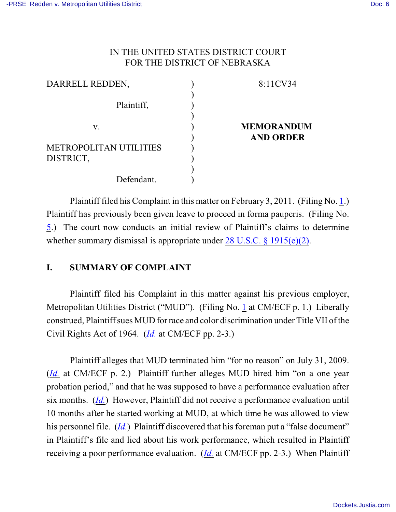### IN THE UNITED STATES DISTRICT COURT FOR THE DISTRICT OF NEBRASKA

| DARRELL REDDEN,               | 8:11CV34          |
|-------------------------------|-------------------|
|                               |                   |
| Plaintiff,                    |                   |
|                               |                   |
| V.                            | <b>MEMORANDUM</b> |
|                               | <b>AND ORDER</b>  |
| <b>METROPOLITAN UTILITIES</b> |                   |
| DISTRICT,                     |                   |
|                               |                   |
| Defendant.                    |                   |

Plaintiff filed his Complaint in this matter on February 3, 2011. (Filing No. [1](http://ecf.ned.uscourts.gov/doc1/11302199364).) Plaintiff has previously been given leave to proceed in forma pauperis. (Filing No. [5](http://ecf.ned.uscourts.gov/doc1/11302215134).) The court now conducts an initial review of Plaintiff's claims to determine whether summary dismissal is appropriate under [28 U.S.C. § 1915\(e\)\(2\)](http://web2.westlaw.com/find/default.wl?rs=CLWP3.0&vr=2.0&cite=28+USCA+ss+1915%28e%29&ssl=n).

### **I. SUMMARY OF COMPLAINT**

Plaintiff filed his Complaint in this matter against his previous employer, Metropolitan Utilities District ("MUD"). (Filing No. [1](http://ecf.ned.uscourts.gov/doc1/11302199364) at CM/ECF p. 1.) Liberally construed, Plaintiff sues MUD for race and color discrimination under Title VII of the Civil Rights Act of 1964. (*[Id.](https://ecf.ned.uscourts.gov/doc1/11312199364)* at CM/ECF pp. 2-3.)

Plaintiff alleges that MUD terminated him "for no reason" on July 31, 2009. (*[Id.](https://ecf.ned.uscourts.gov/doc1/11312199364)* at CM/ECF p. 2.) Plaintiff further alleges MUD hired him "on a one year probation period," and that he was supposed to have a performance evaluation after six months. (*[Id.](https://ecf.ned.uscourts.gov/doc1/11312199364)*) However, Plaintiff did not receive a performance evaluation until 10 months after he started working at MUD, at which time he was allowed to view his personnel file. (*[Id.](https://ecf.ned.uscourts.gov/doc1/11312199364)*) Plaintiff discovered that his foreman put a "false document" in Plaintiff's file and lied about his work performance, which resulted in Plaintiff receiving a poor performance evaluation. (*[Id.](https://ecf.ned.uscourts.gov/doc1/11312199364)* at CM/ECF pp. 2-3.) When Plaintiff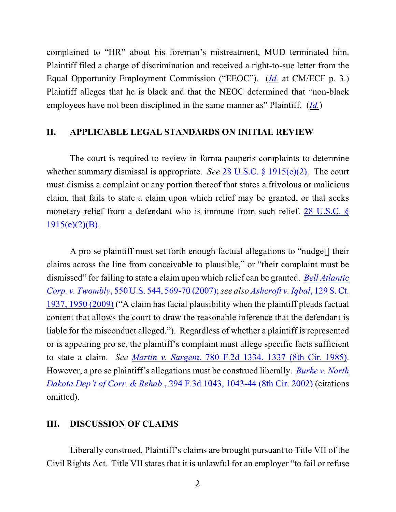complained to "HR" about his foreman's mistreatment, MUD terminated him. Plaintiff filed a charge of discrimination and received a right-to-sue letter from the Equal Opportunity Employment Commission ("EEOC"). (*[Id.](https://ecf.ned.uscourts.gov/doc1/11312199364)* at CM/ECF p. 3.) Plaintiff alleges that he is black and that the NEOC determined that "non-black employees have not been disciplined in the same manner as" Plaintiff. (*[Id.](https://ecf.ned.uscourts.gov/doc1/11312199364)*)

#### **II. APPLICABLE LEGAL STANDARDS ON INITIAL REVIEW**

The court is required to review in forma pauperis complaints to determine whether summary dismissal is appropriate. *See* 28 [U.S.C. § 1915\(e\)\(2\)](http://www.westlaw.com/find/default.wl?rs=CLWP3.0&vr=2.0&cite=28+USCA+ss+1915%28e%29). The court must dismiss a complaint or any portion thereof that states a frivolous or malicious claim, that fails to state a claim upon which relief may be granted, or that seeks monetary relief from a defendant who is immune from such relief. [28 U.S.C. §](http://www.westlaw.com/find/default.wl?rs=CLWP3.0&vr=2.0&cite=28+USCA+s+1915%28e%29%282%29%28B%29)  $1915(e)(2)(B)$ .

A pro se plaintiff must set forth enough factual allegations to "nudge[] their claims across the line from conceivable to plausible," or "their complaint must be dismissed" for failing to state a claim upon which relief can be granted. *[Bell Atlantic](http://web2.westlaw.com/find/default.wl?fn=_top&rs=WLW9.08&rp=%2ffind%2fdefault.wl&ifm=NotSet&vr=2.0&sv=Split&cite=550+us+569) [Corp. v. Twombly](http://web2.westlaw.com/find/default.wl?fn=_top&rs=WLW9.08&rp=%2ffind%2fdefault.wl&ifm=NotSet&vr=2.0&sv=Split&cite=550+us+569)*, 550 U.S. 544, 569-70 (2007);*see also [Ashcroft v. Iqbal](http://web2.westlaw.com/find/default.wl?rs=WLW9.10&ifm=NotSet&fn=_top&sv=Split&cite=129+s+ct+1950&vr=2.0&rp=%2ffind%2fdefault.wl&pbc=074303F9)*, 129 S. Ct. [1937, 1950 \(2009\)](http://web2.westlaw.com/find/default.wl?rs=WLW9.10&ifm=NotSet&fn=_top&sv=Split&cite=129+s+ct+1950&vr=2.0&rp=%2ffind%2fdefault.wl&pbc=074303F9) ("A claim has facial plausibility when the plaintiff pleads factual content that allows the court to draw the reasonable inference that the defendant is liable for the misconduct alleged."). Regardless of whether a plaintiff is represented or is appearing pro se, the plaintiff's complaint must allege specific facts sufficient to state a claim. *See Martin v. Sargent*[, 780 F.2d 1334, 1337 \(8th Cir. 1985\)](http://www.westlaw.com/find/default.wl?rs=CLWP3.0&vr=2.0&cite=780+F.2d+1334). However, a pro se plaintiff's allegations must be construed liberally. *[Burke v. North](http://www.westlaw.com/find/default.wl?rs=CLWP3.0&vr=2.0&cite=294+F.3d+1043) [Dakota Dep't of Corr. & Rehab.](http://www.westlaw.com/find/default.wl?rs=CLWP3.0&vr=2.0&cite=294+F.3d+1043)*, 294 F.3d 1043, 1043-44 (8th Cir. 2002) (citations omitted).

# **III. DISCUSSION OF CLAIMS**

Liberally construed, Plaintiff's claims are brought pursuant to Title VII of the Civil Rights Act. Title VII states that it is unlawful for an employer "to fail or refuse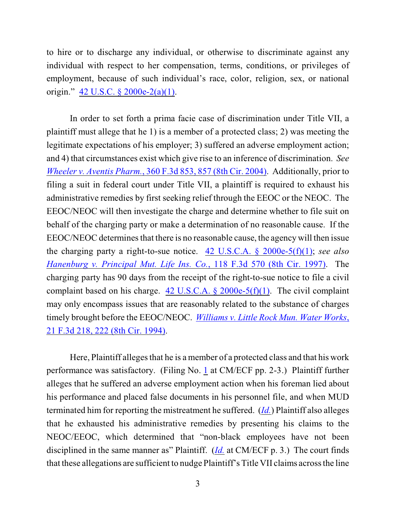to hire or to discharge any individual, or otherwise to discriminate against any individual with respect to her compensation, terms, conditions, or privileges of employment, because of such individual's race, color, religion, sex, or national origin." [42 U.S.C. § 2000e-2\(a\)\(1\)](http://www.westlaw.com/find/default.wl?rs=CLWP3.0&vr=2.0&cite=42+USCA+s+2000e-2%28a%29%281%29).

In order to set forth a prima facie case of discrimination under Title VII, a plaintiff must allege that he 1) is a member of a protected class; 2) was meeting the legitimate expectations of his employer; 3) suffered an adverse employment action; and 4) that circumstances exist which give rise to an inference of discrimination. *See Wheeler v. Aventis Pharm.*, [360 F.3d 853, 857 \(8th Cir. 2004\)](http://web2.westlaw.com/find/default.wl?fn=_top&rs=WLW8.07&rp=%2ffind%2fdefault.wl&vr=2.0&cite=360+F.3d+857). Additionally, prior to filing a suit in federal court under Title VII, a plaintiff is required to exhaust his administrative remedies by first seeking relief through the EEOC or the NEOC. The EEOC/NEOC will then investigate the charge and determine whether to file suit on behalf of the charging party or make a determination of no reasonable cause. If the EEOC/NEOC determines that there is no reasonable cause, the agency will then issue the charging party a right-to-sue notice. [42 U.S.C.A. § 2000e-5\(f\)\(1\)](http://www.westlaw.com/find/default.wl?rs=CLWP3.0&vr=2.0&cite=42+USCA+s+2000e-5%28f%29%281%29); *see also [Hanenburg v. Principal Mut. Life Ins. Co.](http://www.westlaw.com/find/default.wl?rs=CLWP3.0&vr=2.0&cite=118+F.3d+570)*, 118 F.3d 570 (8th Cir. 1997). The charging party has 90 days from the receipt of the right-to-sue notice to file a civil complaint based on his charge.  $42$  U.S.C.A. § 2000e-5(f)(1). The civil complaint may only encompass issues that are reasonably related to the substance of charges timely brought before the EEOC/NEOC. *[Williams v. Little Rock Mun. Water Works](http://web2.westlaw.com/find/default.wl?fn=_top&rs=WLW8.07&rp=%2ffind%2fdefault.wl&vr=2.0&cite=21+F.3d+222)*, [21 F.3d 218, 222 \(8th Cir. 1994\)](http://web2.westlaw.com/find/default.wl?fn=_top&rs=WLW8.07&rp=%2ffind%2fdefault.wl&vr=2.0&cite=21+F.3d+222).

Here, Plaintiff alleges that he is a member of a protected class and that his work performance was satisfactory. (Filing No. [1](http://ecf.ned.uscourts.gov/doc1/11302199364) at CM/ECF pp. 2-3.) Plaintiff further alleges that he suffered an adverse employment action when his foreman lied about his performance and placed false documents in his personnel file, and when MUD terminated him for reporting the mistreatment he suffered. (*[Id.](https://ecf.ned.uscourts.gov/doc1/11312199364)*) Plaintiff also alleges that he exhausted his administrative remedies by presenting his claims to the NEOC/EEOC, which determined that "non-black employees have not been disciplined in the same manner as" Plaintiff. (*[Id.](https://ecf.ned.uscourts.gov/doc1/11312199364)* at CM/ECF p. 3.) The court finds that these allegations are sufficient to nudge Plaintiff's Title VII claims across the line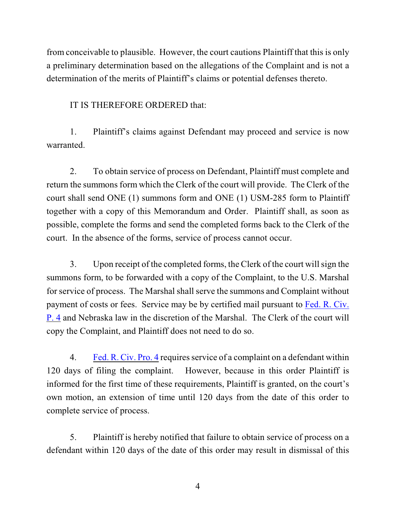from conceivable to plausible. However, the court cautions Plaintiff that this is only a preliminary determination based on the allegations of the Complaint and is not a determination of the merits of Plaintiff's claims or potential defenses thereto.

IT IS THEREFORE ORDERED that:

1. Plaintiff's claims against Defendant may proceed and service is now warranted.

2. To obtain service of process on Defendant, Plaintiff must complete and return the summons form which the Clerk of the court will provide. The Clerk of the court shall send ONE (1) summons form and ONE (1) USM-285 form to Plaintiff together with a copy of this Memorandum and Order. Plaintiff shall, as soon as possible, complete the forms and send the completed forms back to the Clerk of the court. In the absence of the forms, service of process cannot occur.

3. Upon receipt of the completed forms, the Clerk of the court will sign the summons form, to be forwarded with a copy of the Complaint, to the U.S. Marshal for service of process. The Marshal shall serve the summons and Complaint without payment of costs or fees. Service may be by certified mail pursuant to [Fed. R. Civ.](http://web2.westlaw.com/find/default.wl?rs=WLW9.07&ifm=NotSet&fn=_top&sv=Split&cite=frcp+4&vr=2.0&rp=%2ffind%2fdefault.wl&mt=Westlaw) [P. 4](http://web2.westlaw.com/find/default.wl?rs=WLW9.07&ifm=NotSet&fn=_top&sv=Split&cite=frcp+4&vr=2.0&rp=%2ffind%2fdefault.wl&mt=Westlaw) and Nebraska law in the discretion of the Marshal. The Clerk of the court will copy the Complaint, and Plaintiff does not need to do so.

4. [Fed. R. Civ. Pro. 4](http://web2.westlaw.com/find/default.wl?rs=WLW9.07&ifm=NotSet&fn=_top&sv=Split&cite=frcp+4&vr=2.0&rp=%2ffind%2fdefault.wl&mt=Westlaw) requires service of a complaint on a defendant within 120 days of filing the complaint. However, because in this order Plaintiff is informed for the first time of these requirements, Plaintiff is granted, on the court's own motion, an extension of time until 120 days from the date of this order to complete service of process.

5. Plaintiff is hereby notified that failure to obtain service of process on a defendant within 120 days of the date of this order may result in dismissal of this